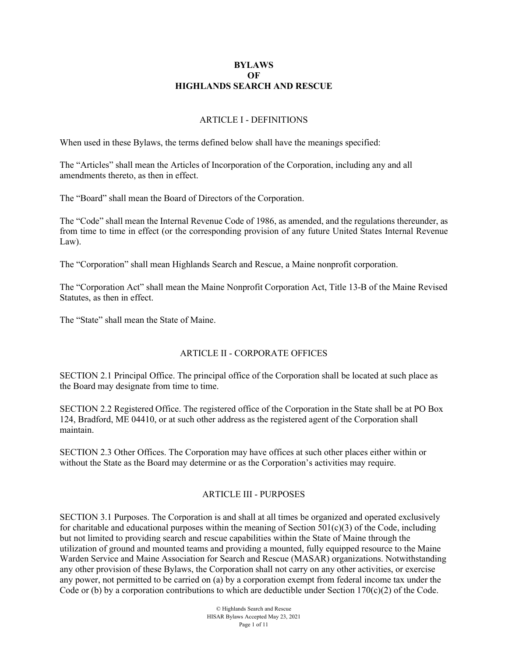#### **BYLAWS**   $\Omega$ **F HIGHLANDS SEARCH AND RESCUE**

#### ARTICLE I - DEFINITIONS

When used in these Bylaws, the terms defined below shall have the meanings specified:

The "Articles" shall mean the Articles of Incorporation of the Corporation, including any and all amendments thereto, as then in effect.

The "Board" shall mean the Board of Directors of the Corporation.

The "Code" shall mean the Internal Revenue Code of 1986, as amended, and the regulations thereunder, as from time to time in effect (or the corresponding provision of any future United States Internal Revenue Law).

The "Corporation" shall mean Highlands Search and Rescue, a Maine nonprofit corporation.

The "Corporation Act" shall mean the Maine Nonprofit Corporation Act, Title 13-B of the Maine Revised Statutes, as then in effect.

The "State" shall mean the State of Maine.

### ARTICLE II - CORPORATE OFFICES

SECTION 2.1 Principal Office. The principal office of the Corporation shall be located at such place as the Board may designate from time to time.

SECTION 2.2 Registered Office. The registered office of the Corporation in the State shall be at PO Box 124, Bradford, ME 04410, or at such other address as the registered agent of the Corporation shall maintain.

SECTION 2.3 Other Offices. The Corporation may have offices at such other places either within or without the State as the Board may determine or as the Corporation's activities may require.

### ARTICLE III - PURPOSES

SECTION 3.1 Purposes. The Corporation is and shall at all times be organized and operated exclusively for charitable and educational purposes within the meaning of Section  $501(c)(3)$  of the Code, including but not limited to providing search and rescue capabilities within the State of Maine through the utilization of ground and mounted teams and providing a mounted, fully equipped resource to the Maine Warden Service and Maine Association for Search and Rescue (MASAR) organizations. Notwithstanding any other provision of these Bylaws, the Corporation shall not carry on any other activities, or exercise any power, not permitted to be carried on (a) by a corporation exempt from federal income tax under the Code or (b) by a corporation contributions to which are deductible under Section  $170(c)(2)$  of the Code.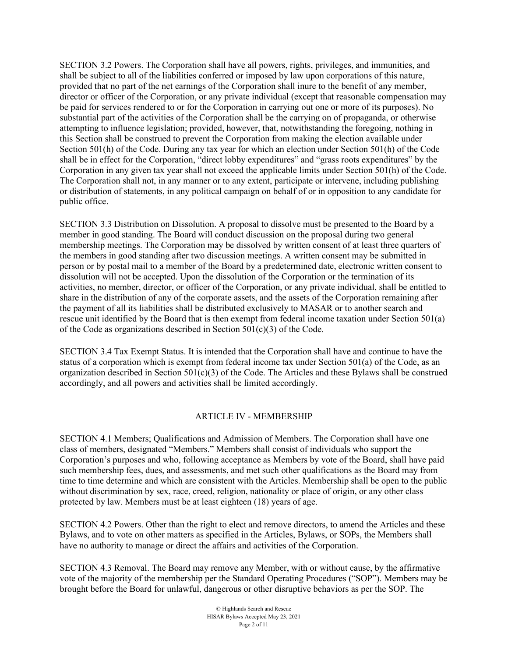SECTION 3.2 Powers. The Corporation shall have all powers, rights, privileges, and immunities, and shall be subject to all of the liabilities conferred or imposed by law upon corporations of this nature, provided that no part of the net earnings of the Corporation shall inure to the benefit of any member, director or officer of the Corporation, or any private individual (except that reasonable compensation may be paid for services rendered to or for the Corporation in carrying out one or more of its purposes). No substantial part of the activities of the Corporation shall be the carrying on of propaganda, or otherwise attempting to influence legislation; provided, however, that, notwithstanding the foregoing, nothing in this Section shall be construed to prevent the Corporation from making the election available under Section 501(h) of the Code. During any tax year for which an election under Section 501(h) of the Code shall be in effect for the Corporation, "direct lobby expenditures" and "grass roots expenditures" by the Corporation in any given tax year shall not exceed the applicable limits under Section 501(h) of the Code. The Corporation shall not, in any manner or to any extent, participate or intervene, including publishing or distribution of statements, in any political campaign on behalf of or in opposition to any candidate for public office.

SECTION 3.3 Distribution on Dissolution. A proposal to dissolve must be presented to the Board by a member in good standing. The Board will conduct discussion on the proposal during two general membership meetings. The Corporation may be dissolved by written consent of at least three quarters of the members in good standing after two discussion meetings. A written consent may be submitted in person or by postal mail to a member of the Board by a predetermined date, electronic written consent to dissolution will not be accepted. Upon the dissolution of the Corporation or the termination of its activities, no member, director, or officer of the Corporation, or any private individual, shall be entitled to share in the distribution of any of the corporate assets, and the assets of the Corporation remaining after the payment of all its liabilities shall be distributed exclusively to MASAR or to another search and rescue unit identified by the Board that is then exempt from federal income taxation under Section 501(a) of the Code as organizations described in Section  $501(c)(3)$  of the Code.

SECTION 3.4 Tax Exempt Status. It is intended that the Corporation shall have and continue to have the status of a corporation which is exempt from federal income tax under Section 501(a) of the Code, as an organization described in Section 501(c)(3) of the Code. The Articles and these Bylaws shall be construed accordingly, and all powers and activities shall be limited accordingly.

### ARTICLE IV - MEMBERSHIP

SECTION 4.1 Members; Qualifications and Admission of Members. The Corporation shall have one class of members, designated "Members." Members shall consist of individuals who support the Corporation's purposes and who, following acceptance as Members by vote of the Board, shall have paid such membership fees, dues, and assessments, and met such other qualifications as the Board may from time to time determine and which are consistent with the Articles. Membership shall be open to the public without discrimination by sex, race, creed, religion, nationality or place of origin, or any other class protected by law. Members must be at least eighteen (18) years of age.

SECTION 4.2 Powers. Other than the right to elect and remove directors, to amend the Articles and these Bylaws, and to vote on other matters as specified in the Articles, Bylaws, or SOPs, the Members shall have no authority to manage or direct the affairs and activities of the Corporation.

SECTION 4.3 Removal. The Board may remove any Member, with or without cause, by the affirmative vote of the majority of the membership per the Standard Operating Procedures ("SOP"). Members may be brought before the Board for unlawful, dangerous or other disruptive behaviors as per the SOP. The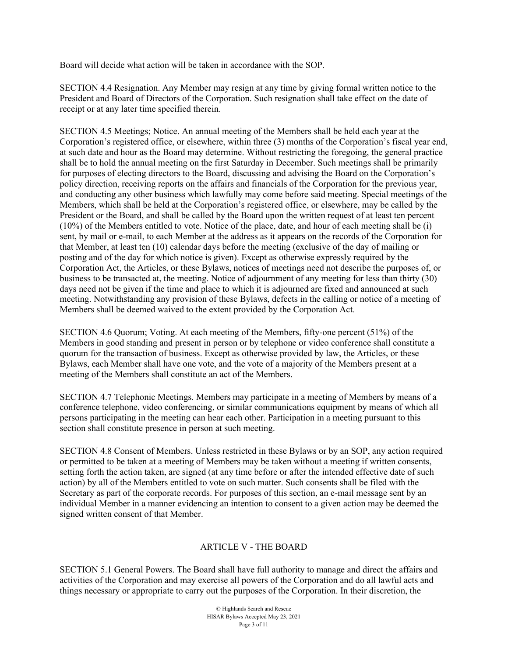Board will decide what action will be taken in accordance with the SOP.

SECTION 4.4 Resignation. Any Member may resign at any time by giving formal written notice to the President and Board of Directors of the Corporation. Such resignation shall take effect on the date of receipt or at any later time specified therein.

SECTION 4.5 Meetings; Notice. An annual meeting of the Members shall be held each year at the Corporation's registered office, or elsewhere, within three (3) months of the Corporation's fiscal year end, at such date and hour as the Board may determine. Without restricting the foregoing, the general practice shall be to hold the annual meeting on the first Saturday in December. Such meetings shall be primarily for purposes of electing directors to the Board, discussing and advising the Board on the Corporation's policy direction, receiving reports on the affairs and financials of the Corporation for the previous year, and conducting any other business which lawfully may come before said meeting. Special meetings of the Members, which shall be held at the Corporation's registered office, or elsewhere, may be called by the President or the Board, and shall be called by the Board upon the written request of at least ten percent (10%) of the Members entitled to vote. Notice of the place, date, and hour of each meeting shall be (i) sent, by mail or e-mail, to each Member at the address as it appears on the records of the Corporation for that Member, at least ten (10) calendar days before the meeting (exclusive of the day of mailing or posting and of the day for which notice is given). Except as otherwise expressly required by the Corporation Act, the Articles, or these Bylaws, notices of meetings need not describe the purposes of, or business to be transacted at, the meeting. Notice of adjournment of any meeting for less than thirty (30) days need not be given if the time and place to which it is adjourned are fixed and announced at such meeting. Notwithstanding any provision of these Bylaws, defects in the calling or notice of a meeting of Members shall be deemed waived to the extent provided by the Corporation Act.

SECTION 4.6 Quorum; Voting. At each meeting of the Members, fifty-one percent (51%) of the Members in good standing and present in person or by telephone or video conference shall constitute a quorum for the transaction of business. Except as otherwise provided by law, the Articles, or these Bylaws, each Member shall have one vote, and the vote of a majority of the Members present at a meeting of the Members shall constitute an act of the Members.

SECTION 4.7 Telephonic Meetings. Members may participate in a meeting of Members by means of a conference telephone, video conferencing, or similar communications equipment by means of which all persons participating in the meeting can hear each other. Participation in a meeting pursuant to this section shall constitute presence in person at such meeting.

SECTION 4.8 Consent of Members. Unless restricted in these Bylaws or by an SOP, any action required or permitted to be taken at a meeting of Members may be taken without a meeting if written consents, setting forth the action taken, are signed (at any time before or after the intended effective date of such action) by all of the Members entitled to vote on such matter. Such consents shall be filed with the Secretary as part of the corporate records. For purposes of this section, an e-mail message sent by an individual Member in a manner evidencing an intention to consent to a given action may be deemed the signed written consent of that Member.

# ARTICLE V - THE BOARD

SECTION 5.1 General Powers. The Board shall have full authority to manage and direct the affairs and activities of the Corporation and may exercise all powers of the Corporation and do all lawful acts and things necessary or appropriate to carry out the purposes of the Corporation. In their discretion, the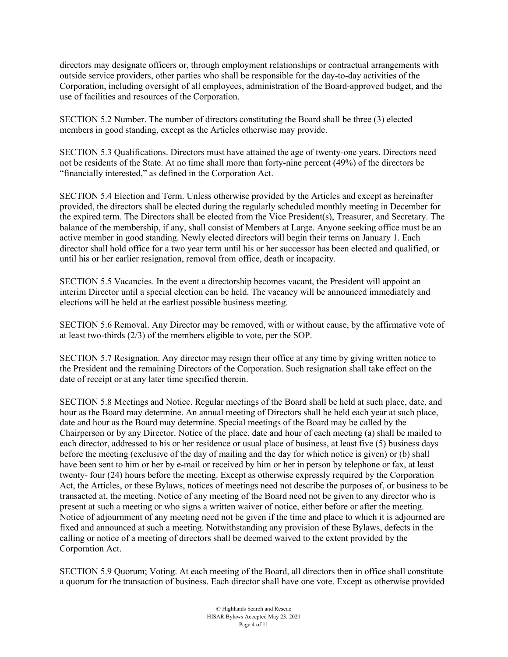directors may designate officers or, through employment relationships or contractual arrangements with outside service providers, other parties who shall be responsible for the day-to-day activities of the Corporation, including oversight of all employees, administration of the Board-approved budget, and the use of facilities and resources of the Corporation.

SECTION 5.2 Number. The number of directors constituting the Board shall be three (3) elected members in good standing, except as the Articles otherwise may provide.

SECTION 5.3 Qualifications. Directors must have attained the age of twenty-one years. Directors need not be residents of the State. At no time shall more than forty-nine percent (49%) of the directors be "financially interested," as defined in the Corporation Act.

SECTION 5.4 Election and Term. Unless otherwise provided by the Articles and except as hereinafter provided, the directors shall be elected during the regularly scheduled monthly meeting in December for the expired term. The Directors shall be elected from the Vice President(s), Treasurer, and Secretary. The balance of the membership, if any, shall consist of Members at Large. Anyone seeking office must be an active member in good standing. Newly elected directors will begin their terms on January 1. Each director shall hold office for a two year term until his or her successor has been elected and qualified, or until his or her earlier resignation, removal from office, death or incapacity.

SECTION 5.5 Vacancies. In the event a directorship becomes vacant, the President will appoint an interim Director until a special election can be held. The vacancy will be announced immediately and elections will be held at the earliest possible business meeting.

SECTION 5.6 Removal. Any Director may be removed, with or without cause, by the affirmative vote of at least two-thirds (2/3) of the members eligible to vote, per the SOP.

SECTION 5.7 Resignation. Any director may resign their office at any time by giving written notice to the President and the remaining Directors of the Corporation. Such resignation shall take effect on the date of receipt or at any later time specified therein.

SECTION 5.8 Meetings and Notice. Regular meetings of the Board shall be held at such place, date, and hour as the Board may determine. An annual meeting of Directors shall be held each year at such place, date and hour as the Board may determine. Special meetings of the Board may be called by the Chairperson or by any Director. Notice of the place, date and hour of each meeting (a) shall be mailed to each director, addressed to his or her residence or usual place of business, at least five (5) business days before the meeting (exclusive of the day of mailing and the day for which notice is given) or (b) shall have been sent to him or her by e-mail or received by him or her in person by telephone or fax, at least twenty- four (24) hours before the meeting. Except as otherwise expressly required by the Corporation Act, the Articles, or these Bylaws, notices of meetings need not describe the purposes of, or business to be transacted at, the meeting. Notice of any meeting of the Board need not be given to any director who is present at such a meeting or who signs a written waiver of notice, either before or after the meeting. Notice of adjournment of any meeting need not be given if the time and place to which it is adjourned are fixed and announced at such a meeting. Notwithstanding any provision of these Bylaws, defects in the calling or notice of a meeting of directors shall be deemed waived to the extent provided by the Corporation Act.

SECTION 5.9 Quorum; Voting. At each meeting of the Board, all directors then in office shall constitute a quorum for the transaction of business. Each director shall have one vote. Except as otherwise provided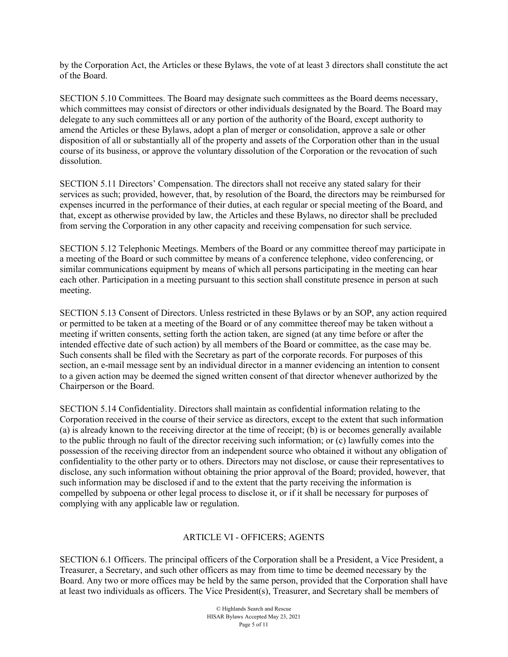by the Corporation Act, the Articles or these Bylaws, the vote of at least 3 directors shall constitute the act of the Board.

SECTION 5.10 Committees. The Board may designate such committees as the Board deems necessary, which committees may consist of directors or other individuals designated by the Board. The Board may delegate to any such committees all or any portion of the authority of the Board, except authority to amend the Articles or these Bylaws, adopt a plan of merger or consolidation, approve a sale or other disposition of all or substantially all of the property and assets of the Corporation other than in the usual course of its business, or approve the voluntary dissolution of the Corporation or the revocation of such dissolution.

SECTION 5.11 Directors' Compensation. The directors shall not receive any stated salary for their services as such; provided, however, that, by resolution of the Board, the directors may be reimbursed for expenses incurred in the performance of their duties, at each regular or special meeting of the Board, and that, except as otherwise provided by law, the Articles and these Bylaws, no director shall be precluded from serving the Corporation in any other capacity and receiving compensation for such service.

SECTION 5.12 Telephonic Meetings. Members of the Board or any committee thereof may participate in a meeting of the Board or such committee by means of a conference telephone, video conferencing, or similar communications equipment by means of which all persons participating in the meeting can hear each other. Participation in a meeting pursuant to this section shall constitute presence in person at such meeting.

SECTION 5.13 Consent of Directors. Unless restricted in these Bylaws or by an SOP, any action required or permitted to be taken at a meeting of the Board or of any committee thereof may be taken without a meeting if written consents, setting forth the action taken, are signed (at any time before or after the intended effective date of such action) by all members of the Board or committee, as the case may be. Such consents shall be filed with the Secretary as part of the corporate records. For purposes of this section, an e-mail message sent by an individual director in a manner evidencing an intention to consent to a given action may be deemed the signed written consent of that director whenever authorized by the Chairperson or the Board.

SECTION 5.14 Confidentiality. Directors shall maintain as confidential information relating to the Corporation received in the course of their service as directors, except to the extent that such information (a) is already known to the receiving director at the time of receipt; (b) is or becomes generally available to the public through no fault of the director receiving such information; or (c) lawfully comes into the possession of the receiving director from an independent source who obtained it without any obligation of confidentiality to the other party or to others. Directors may not disclose, or cause their representatives to disclose, any such information without obtaining the prior approval of the Board; provided, however, that such information may be disclosed if and to the extent that the party receiving the information is compelled by subpoena or other legal process to disclose it, or if it shall be necessary for purposes of complying with any applicable law or regulation.

### ARTICLE VI - OFFICERS; AGENTS

SECTION 6.1 Officers. The principal officers of the Corporation shall be a President, a Vice President, a Treasurer, a Secretary, and such other officers as may from time to time be deemed necessary by the Board. Any two or more offices may be held by the same person, provided that the Corporation shall have at least two individuals as officers. The Vice President(s), Treasurer, and Secretary shall be members of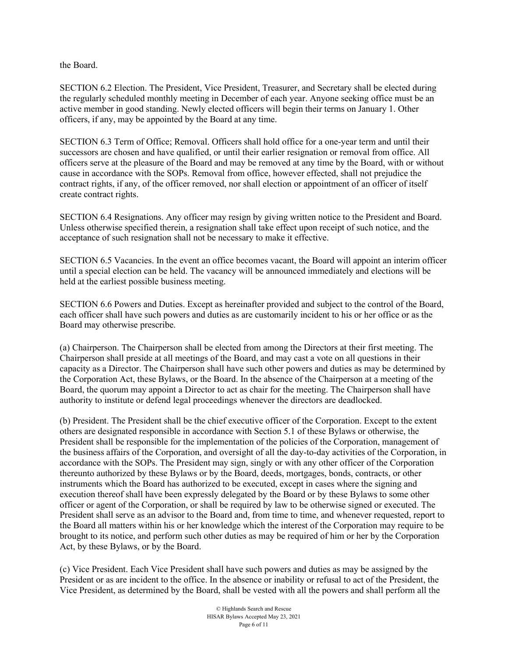the Board.

SECTION 6.2 Election. The President, Vice President, Treasurer, and Secretary shall be elected during the regularly scheduled monthly meeting in December of each year. Anyone seeking office must be an active member in good standing. Newly elected officers will begin their terms on January 1. Other officers, if any, may be appointed by the Board at any time.

SECTION 6.3 Term of Office; Removal. Officers shall hold office for a one-year term and until their successors are chosen and have qualified, or until their earlier resignation or removal from office. All officers serve at the pleasure of the Board and may be removed at any time by the Board, with or without cause in accordance with the SOPs. Removal from office, however effected, shall not prejudice the contract rights, if any, of the officer removed, nor shall election or appointment of an officer of itself create contract rights.

SECTION 6.4 Resignations. Any officer may resign by giving written notice to the President and Board. Unless otherwise specified therein, a resignation shall take effect upon receipt of such notice, and the acceptance of such resignation shall not be necessary to make it effective.

SECTION 6.5 Vacancies. In the event an office becomes vacant, the Board will appoint an interim officer until a special election can be held. The vacancy will be announced immediately and elections will be held at the earliest possible business meeting.

SECTION 6.6 Powers and Duties. Except as hereinafter provided and subject to the control of the Board, each officer shall have such powers and duties as are customarily incident to his or her office or as the Board may otherwise prescribe.

(a) Chairperson. The Chairperson shall be elected from among the Directors at their first meeting. The Chairperson shall preside at all meetings of the Board, and may cast a vote on all questions in their capacity as a Director. The Chairperson shall have such other powers and duties as may be determined by the Corporation Act, these Bylaws, or the Board. In the absence of the Chairperson at a meeting of the Board, the quorum may appoint a Director to act as chair for the meeting. The Chairperson shall have authority to institute or defend legal proceedings whenever the directors are deadlocked.

(b) President. The President shall be the chief executive officer of the Corporation. Except to the extent others are designated responsible in accordance with Section 5.1 of these Bylaws or otherwise, the President shall be responsible for the implementation of the policies of the Corporation, management of the business affairs of the Corporation, and oversight of all the day-to-day activities of the Corporation, in accordance with the SOPs. The President may sign, singly or with any other officer of the Corporation thereunto authorized by these Bylaws or by the Board, deeds, mortgages, bonds, contracts, or other instruments which the Board has authorized to be executed, except in cases where the signing and execution thereof shall have been expressly delegated by the Board or by these Bylaws to some other officer or agent of the Corporation, or shall be required by law to be otherwise signed or executed. The President shall serve as an advisor to the Board and, from time to time, and whenever requested, report to the Board all matters within his or her knowledge which the interest of the Corporation may require to be brought to its notice, and perform such other duties as may be required of him or her by the Corporation Act, by these Bylaws, or by the Board.

(c) Vice President. Each Vice President shall have such powers and duties as may be assigned by the President or as are incident to the office. In the absence or inability or refusal to act of the President, the Vice President, as determined by the Board, shall be vested with all the powers and shall perform all the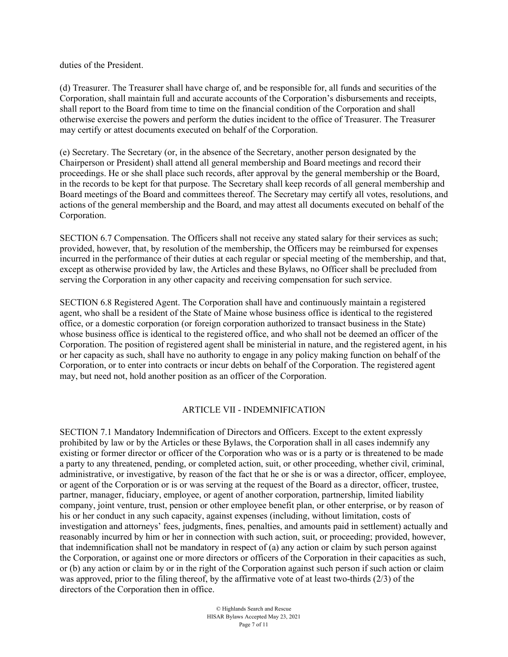duties of the President.

(d) Treasurer. The Treasurer shall have charge of, and be responsible for, all funds and securities of the Corporation, shall maintain full and accurate accounts of the Corporation's disbursements and receipts, shall report to the Board from time to time on the financial condition of the Corporation and shall otherwise exercise the powers and perform the duties incident to the office of Treasurer. The Treasurer may certify or attest documents executed on behalf of the Corporation.

(e) Secretary. The Secretary (or, in the absence of the Secretary, another person designated by the Chairperson or President) shall attend all general membership and Board meetings and record their proceedings. He or she shall place such records, after approval by the general membership or the Board, in the records to be kept for that purpose. The Secretary shall keep records of all general membership and Board meetings of the Board and committees thereof. The Secretary may certify all votes, resolutions, and actions of the general membership and the Board, and may attest all documents executed on behalf of the Corporation.

SECTION 6.7 Compensation. The Officers shall not receive any stated salary for their services as such; provided, however, that, by resolution of the membership, the Officers may be reimbursed for expenses incurred in the performance of their duties at each regular or special meeting of the membership, and that, except as otherwise provided by law, the Articles and these Bylaws, no Officer shall be precluded from serving the Corporation in any other capacity and receiving compensation for such service.

SECTION 6.8 Registered Agent. The Corporation shall have and continuously maintain a registered agent, who shall be a resident of the State of Maine whose business office is identical to the registered office, or a domestic corporation (or foreign corporation authorized to transact business in the State) whose business office is identical to the registered office, and who shall not be deemed an officer of the Corporation. The position of registered agent shall be ministerial in nature, and the registered agent, in his or her capacity as such, shall have no authority to engage in any policy making function on behalf of the Corporation, or to enter into contracts or incur debts on behalf of the Corporation. The registered agent may, but need not, hold another position as an officer of the Corporation.

#### ARTICLE VII - INDEMNIFICATION

SECTION 7.1 Mandatory Indemnification of Directors and Officers. Except to the extent expressly prohibited by law or by the Articles or these Bylaws, the Corporation shall in all cases indemnify any existing or former director or officer of the Corporation who was or is a party or is threatened to be made a party to any threatened, pending, or completed action, suit, or other proceeding, whether civil, criminal, administrative, or investigative, by reason of the fact that he or she is or was a director, officer, employee, or agent of the Corporation or is or was serving at the request of the Board as a director, officer, trustee, partner, manager, fiduciary, employee, or agent of another corporation, partnership, limited liability company, joint venture, trust, pension or other employee benefit plan, or other enterprise, or by reason of his or her conduct in any such capacity, against expenses (including, without limitation, costs of investigation and attorneys' fees, judgments, fines, penalties, and amounts paid in settlement) actually and reasonably incurred by him or her in connection with such action, suit, or proceeding; provided, however, that indemnification shall not be mandatory in respect of (a) any action or claim by such person against the Corporation, or against one or more directors or officers of the Corporation in their capacities as such, or (b) any action or claim by or in the right of the Corporation against such person if such action or claim was approved, prior to the filing thereof, by the affirmative vote of at least two-thirds (2/3) of the directors of the Corporation then in office.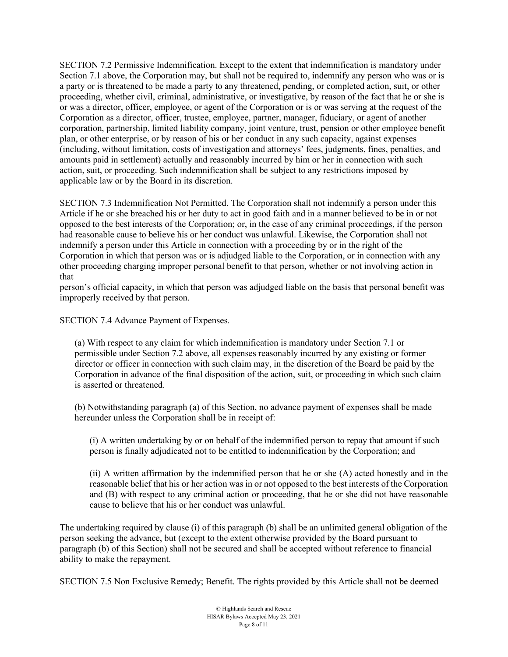SECTION 7.2 Permissive Indemnification. Except to the extent that indemnification is mandatory under Section 7.1 above, the Corporation may, but shall not be required to, indemnify any person who was or is a party or is threatened to be made a party to any threatened, pending, or completed action, suit, or other proceeding, whether civil, criminal, administrative, or investigative, by reason of the fact that he or she is or was a director, officer, employee, or agent of the Corporation or is or was serving at the request of the Corporation as a director, officer, trustee, employee, partner, manager, fiduciary, or agent of another corporation, partnership, limited liability company, joint venture, trust, pension or other employee benefit plan, or other enterprise, or by reason of his or her conduct in any such capacity, against expenses (including, without limitation, costs of investigation and attorneys' fees, judgments, fines, penalties, and amounts paid in settlement) actually and reasonably incurred by him or her in connection with such action, suit, or proceeding. Such indemnification shall be subject to any restrictions imposed by applicable law or by the Board in its discretion.

SECTION 7.3 Indemnification Not Permitted. The Corporation shall not indemnify a person under this Article if he or she breached his or her duty to act in good faith and in a manner believed to be in or not opposed to the best interests of the Corporation; or, in the case of any criminal proceedings, if the person had reasonable cause to believe his or her conduct was unlawful. Likewise, the Corporation shall not indemnify a person under this Article in connection with a proceeding by or in the right of the Corporation in which that person was or is adjudged liable to the Corporation, or in connection with any other proceeding charging improper personal benefit to that person, whether or not involving action in that

person's official capacity, in which that person was adjudged liable on the basis that personal benefit was improperly received by that person.

SECTION 7.4 Advance Payment of Expenses.

(a) With respect to any claim for which indemnification is mandatory under Section 7.1 or permissible under Section 7.2 above, all expenses reasonably incurred by any existing or former director or officer in connection with such claim may, in the discretion of the Board be paid by the Corporation in advance of the final disposition of the action, suit, or proceeding in which such claim is asserted or threatened.

(b) Notwithstanding paragraph (a) of this Section, no advance payment of expenses shall be made hereunder unless the Corporation shall be in receipt of:

(i) A written undertaking by or on behalf of the indemnified person to repay that amount if such person is finally adjudicated not to be entitled to indemnification by the Corporation; and

(ii) A written affirmation by the indemnified person that he or she (A) acted honestly and in the reasonable belief that his or her action was in or not opposed to the best interests of the Corporation and (B) with respect to any criminal action or proceeding, that he or she did not have reasonable cause to believe that his or her conduct was unlawful.

The undertaking required by clause (i) of this paragraph (b) shall be an unlimited general obligation of the person seeking the advance, but (except to the extent otherwise provided by the Board pursuant to paragraph (b) of this Section) shall not be secured and shall be accepted without reference to financial ability to make the repayment.

SECTION 7.5 Non Exclusive Remedy; Benefit. The rights provided by this Article shall not be deemed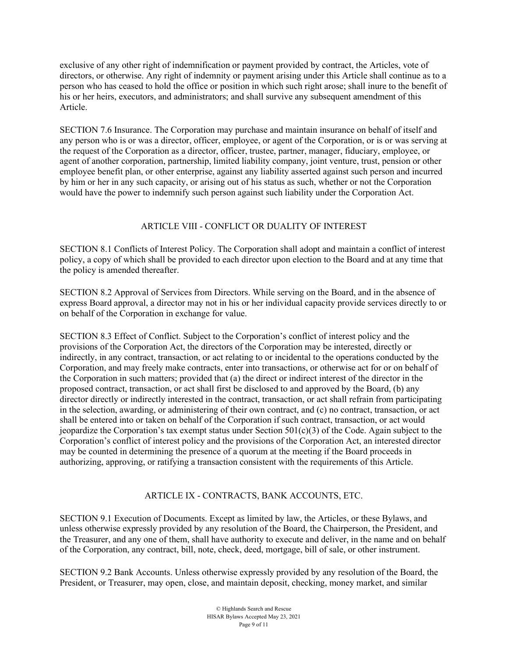exclusive of any other right of indemnification or payment provided by contract, the Articles, vote of directors, or otherwise. Any right of indemnity or payment arising under this Article shall continue as to a person who has ceased to hold the office or position in which such right arose; shall inure to the benefit of his or her heirs, executors, and administrators; and shall survive any subsequent amendment of this Article.

SECTION 7.6 Insurance. The Corporation may purchase and maintain insurance on behalf of itself and any person who is or was a director, officer, employee, or agent of the Corporation, or is or was serving at the request of the Corporation as a director, officer, trustee, partner, manager, fiduciary, employee, or agent of another corporation, partnership, limited liability company, joint venture, trust, pension or other employee benefit plan, or other enterprise, against any liability asserted against such person and incurred by him or her in any such capacity, or arising out of his status as such, whether or not the Corporation would have the power to indemnify such person against such liability under the Corporation Act.

# ARTICLE VIII - CONFLICT OR DUALITY OF INTEREST

SECTION 8.1 Conflicts of Interest Policy. The Corporation shall adopt and maintain a conflict of interest policy, a copy of which shall be provided to each director upon election to the Board and at any time that the policy is amended thereafter.

SECTION 8.2 Approval of Services from Directors. While serving on the Board, and in the absence of express Board approval, a director may not in his or her individual capacity provide services directly to or on behalf of the Corporation in exchange for value.

SECTION 8.3 Effect of Conflict. Subject to the Corporation's conflict of interest policy and the provisions of the Corporation Act, the directors of the Corporation may be interested, directly or indirectly, in any contract, transaction, or act relating to or incidental to the operations conducted by the Corporation, and may freely make contracts, enter into transactions, or otherwise act for or on behalf of the Corporation in such matters; provided that (a) the direct or indirect interest of the director in the proposed contract, transaction, or act shall first be disclosed to and approved by the Board, (b) any director directly or indirectly interested in the contract, transaction, or act shall refrain from participating in the selection, awarding, or administering of their own contract, and (c) no contract, transaction, or act shall be entered into or taken on behalf of the Corporation if such contract, transaction, or act would jeopardize the Corporation's tax exempt status under Section  $501(c)(3)$  of the Code. Again subject to the Corporation's conflict of interest policy and the provisions of the Corporation Act, an interested director may be counted in determining the presence of a quorum at the meeting if the Board proceeds in authorizing, approving, or ratifying a transaction consistent with the requirements of this Article.

### ARTICLE IX - CONTRACTS, BANK ACCOUNTS, ETC.

SECTION 9.1 Execution of Documents. Except as limited by law, the Articles, or these Bylaws, and unless otherwise expressly provided by any resolution of the Board, the Chairperson, the President, and the Treasurer, and any one of them, shall have authority to execute and deliver, in the name and on behalf of the Corporation, any contract, bill, note, check, deed, mortgage, bill of sale, or other instrument.

SECTION 9.2 Bank Accounts. Unless otherwise expressly provided by any resolution of the Board, the President, or Treasurer, may open, close, and maintain deposit, checking, money market, and similar